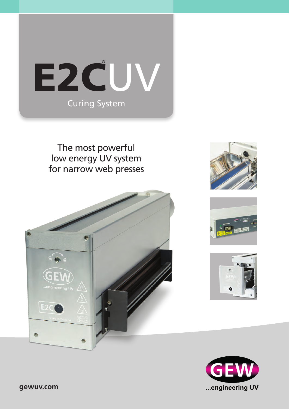

The most powerful low energy UV system for narrow web presses









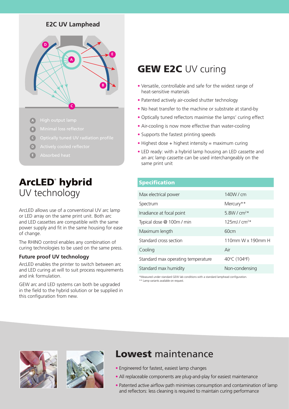### **E2C UV Lamphead**



- **A**
- **B**
- **C**
- **D**
- **E**

# ArcLED® hybrid UV technology

ArcLED allows use of a conventional UV arc lamp or LED array on the same print unit. Both arc and LED cassettes are compatible with the same power supply and fit in the same housing for ease of change.

The RHINO control enables any combination of curing technologies to be used on the same press.

#### **Future proof UV technology**

ArcLED enables the printer to switch between arc and LED curing at will to suit process requirements and ink formulation.

GEW arc and LED systems can both be upgraded in the field to the hybrid solution or be supplied in this configuration from new.

# **GEW E2C UV curing**

- **•** Versatile, controllable and safe for the widest range of heat-sensitive materials
- **•** Patented actively air-cooled shutter technology
- **•** No heat transfer to the machine or substrate at stand-by
- **•** Optically tuned reflectors maximise the lamps' curing effect
- **•** Air-cooling is now more effective than water-cooling
- **•** Supports the fastest printing speeds
- Highest dose + highest intensity = maximum curing
- **•** LED ready: with a hybrid lamp housing an LED cassette and an arc lamp cassette can be used interchangeably on the same print unit

### Specification

| Max electrical power               | 140W/cm                       |  |
|------------------------------------|-------------------------------|--|
| Spectrum                           | Mercury**                     |  |
| Irradiance at focal point          | 5.8W / $cm^{2*}$              |  |
| Typical dose @ 100m / min          | $125$ m $1/c$ m <sup>2*</sup> |  |
| Maximum length                     | 60cm                          |  |
| Standard cross section             | 110mm W x 190mm H             |  |
| Cooling                            | Air                           |  |
| Standard max operating temperature | 40°C (104°F)                  |  |
| Standard max humidity              | Non-condensing                |  |
|                                    |                               |  |

\*Measured under standard GEW lab conditions with a standard lamphead configuration. \*\* Lamp variants available on request.





## Lowest maintenance

- **•** Engineered for fastest, easiest lamp changes
- **•** All replaceable components are plug-and-play for easiest maintenance
- **•** Patented active airflow path minimises consumption and contamination of lamp and reflectors: less cleaning is required to maintain curing performance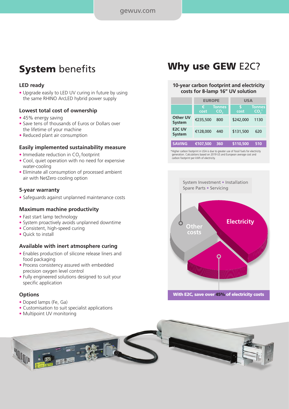# **System** benefits

#### **LED ready**

• Upgrade easily to LED UV curing in future by using the same RHINO ArcLED hybrid power supply

#### **Lowest total cost of ownership**

- 45% energy saving
- Save tens of thousands of Euros or Dollars over the lifetime of your machine
- Reduced plant air consumption

#### **Easily implemented sustainability measure**

- $\bullet$  Immediate reduction in CO<sub>2</sub> footprint
- Cool, quiet operation with no need for expensive water-cooling
- Eliminate all consumption of processed ambient air with NetZero cooling option

#### **5-year warranty**

• Safeguards against unplanned maintenance costs

#### **Maximum machine productivity**

- Fast start lamp technology
- System proactively avoids unplanned downtime
- Consistent, high-speed curing
- Quick to install

#### **Available with inert atmosphere curing**

- Enables production of silicone release liners and food packaging
- Process consistency assured with embedded precision oxygen level control
- Fully engineered solutions designed to suit your specific application

#### **Options**

- Doped lamps (Fe, Ga)
- Customisation to suit specialist applications
- Multipoint UV monitoring

## Why use GEW E2C?

#### **10-year carbon footprint and electricity costs for 8-lamp 16" UV solution**

|                                | <b>EUROPE</b> |                      | <b>USA</b> |                                  |
|--------------------------------|---------------|----------------------|------------|----------------------------------|
|                                | €<br>cost     | <b>Tonnes</b><br>CO, | S<br>cost  | <b>Tonnes</b><br>CO <sub>2</sub> |
| Other UV<br><b>System</b>      | €235,500      | 800                  | \$242,000  | 1130                             |
| <b>F2C UV</b><br><b>System</b> | €128,000      | 440                  | \$131,500  | 620                              |
| <b>SAVING</b>                  | €107.500      | 360                  | \$110,500  | 510                              |

\*Higher carbon footprint in USA is due to greater use of fossil fuels for electricity generation. Calculations based on 2019 US and European average cost and carbon footprint per kWh of electricity.